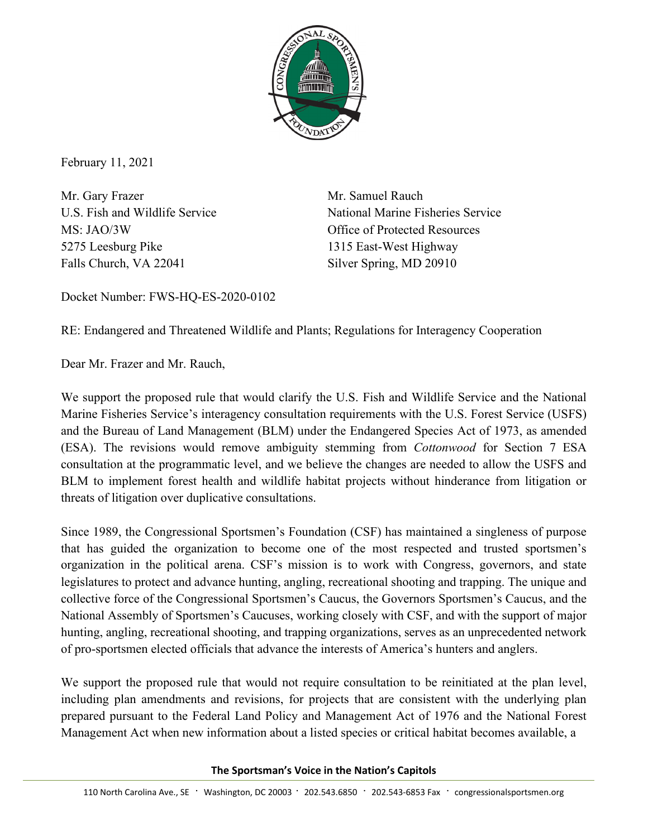

February 11, 2021

Mr. Gary Frazer Mr. Samuel Rauch MS: JAO/3W Office of Protected Resources 5275 Leesburg Pike 1315 East-West Highway Falls Church, VA 22041 Silver Spring, MD 20910

U.S. Fish and Wildlife Service National Marine Fisheries Service

Docket Number: FWS-HQ-ES-2020-0102

RE: Endangered and Threatened Wildlife and Plants; Regulations for Interagency Cooperation

Dear Mr. Frazer and Mr. Rauch,

We support the proposed rule that would clarify the U.S. Fish and Wildlife Service and the National Marine Fisheries Service's interagency consultation requirements with the U.S. Forest Service (USFS) and the Bureau of Land Management (BLM) under the Endangered Species Act of 1973, as amended (ESA). The revisions would remove ambiguity stemming from *Cottonwood* for Section 7 ESA consultation at the programmatic level, and we believe the changes are needed to allow the USFS and BLM to implement forest health and wildlife habitat projects without hinderance from litigation or threats of litigation over duplicative consultations.

Since 1989, the Congressional Sportsmen's Foundation (CSF) has maintained a singleness of purpose that has guided the organization to become one of the most respected and trusted sportsmen's organization in the political arena. CSF's mission is to work with Congress, governors, and state legislatures to protect and advance hunting, angling, recreational shooting and trapping. The unique and collective force of the Congressional Sportsmen's Caucus, the Governors Sportsmen's Caucus, and the National Assembly of Sportsmen's Caucuses, working closely with CSF, and with the support of major hunting, angling, recreational shooting, and trapping organizations, serves as an unprecedented network of pro-sportsmen elected officials that advance the interests of America's hunters and anglers.

We support the proposed rule that would not require consultation to be reinitiated at the plan level, including plan amendments and revisions, for projects that are consistent with the underlying plan prepared pursuant to the Federal Land Policy and Management Act of 1976 and the National Forest Management Act when new information about a listed species or critical habitat becomes available, a

**The Sportsman's Voice in the Nation's Capitols**